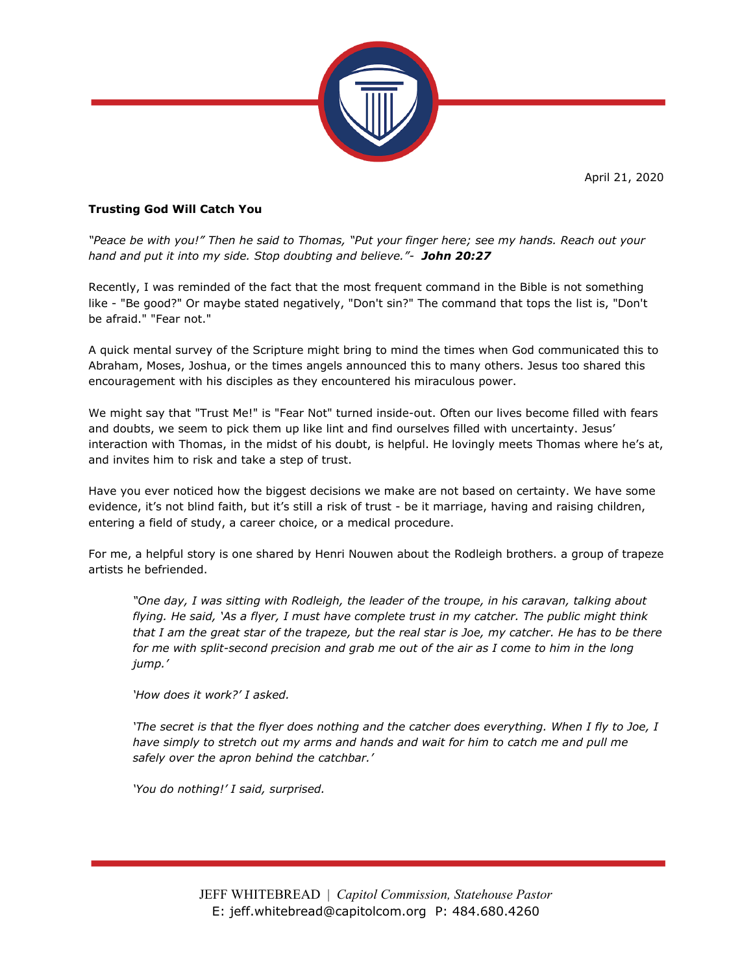April 21, 2020



## **Trusting God Will Catch You**

*"Peace be with you!" Then he said to Thomas, "Put your finger here; see my hands. Reach out your hand and put it into my side. Stop doubting and believe."- John 20:27*

Recently, I was reminded of the fact that the most frequent command in the Bible is not something like - "Be good?" Or maybe stated negatively, "Don't sin?" The command that tops the list is, "Don't be afraid." "Fear not."

A quick mental survey of the Scripture might bring to mind the times when God communicated this to Abraham, Moses, Joshua, or the times angels announced this to many others. Jesus too shared this encouragement with his disciples as they encountered his miraculous power.

We might say that "Trust Me!" is "Fear Not" turned inside-out. Often our lives become filled with fears and doubts, we seem to pick them up like lint and find ourselves filled with uncertainty. Jesus' interaction with Thomas, in the midst of his doubt, is helpful. He lovingly meets Thomas where he's at, and invites him to risk and take a step of trust.

Have you ever noticed how the biggest decisions we make are not based on certainty. We have some evidence, it's not blind faith, but it's still a risk of trust - be it marriage, having and raising children, entering a field of study, a career choice, or a medical procedure.

For me, a helpful story is one shared by Henri Nouwen about the Rodleigh brothers. a group of trapeze artists he befriended.

*"One day, I was sitting with Rodleigh, the leader of the troupe, in his caravan, talking about flying. He said, 'As a flyer, I must have complete trust in my catcher. The public might think that I am the great star of the trapeze, but the real star is Joe, my catcher. He has to be there for me with split-second precision and grab me out of the air as I come to him in the long jump.'*

*'How does it work?' I asked.*

*'The secret is that the flyer does nothing and the catcher does everything. When I fly to Joe, I have simply to stretch out my arms and hands and wait for him to catch me and pull me safely over the apron behind the catchbar.'*

*'You do nothing!' I said, surprised.*